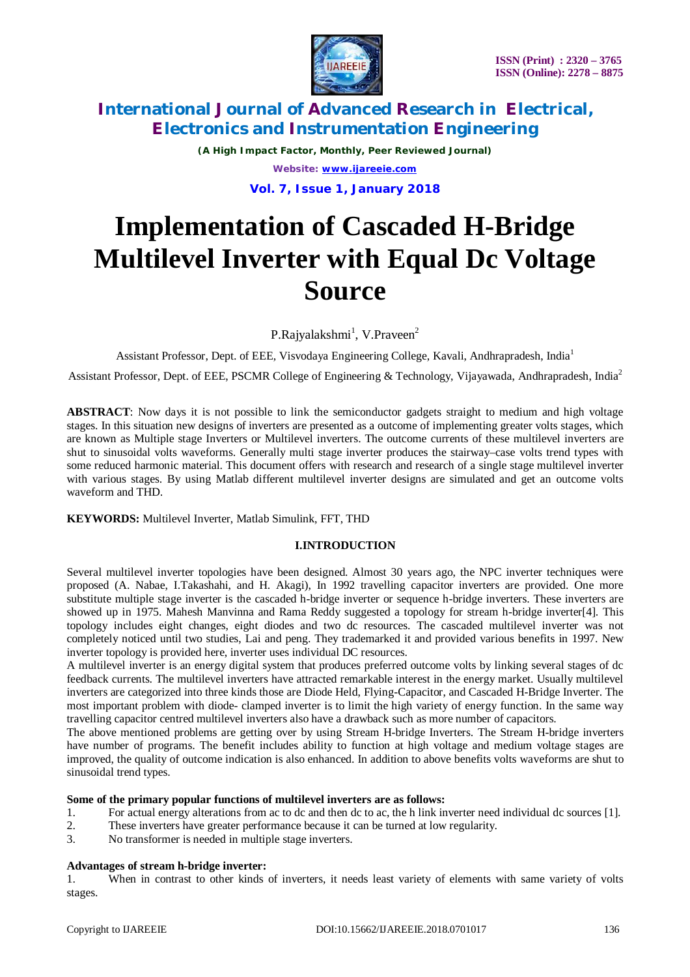

*(A High Impact Factor, Monthly, Peer Reviewed Journal) Website: [www.ijareeie.com](http://www.ijareeie.com)*

**Vol. 7, Issue 1, January 2018**

# **Implementation of Cascaded H-Bridge Multilevel Inverter with Equal Dc Voltage Source**

P.Rajyalakshmi<sup>1</sup>, V.Praveen<sup>2</sup>

Assistant Professor, Dept. of EEE, Visvodaya Engineering College, Kavali, Andhrapradesh, India<sup>1</sup>

Assistant Professor, Dept. of EEE, PSCMR College of Engineering & Technology, Vijayawada, Andhrapradesh, India<sup>2</sup>

**ABSTRACT**: Now days it is not possible to link the semiconductor gadgets straight to medium and high voltage stages. In this situation new designs of inverters are presented as a outcome of implementing greater volts stages, which are known as Multiple stage Inverters or Multilevel inverters. The outcome currents of these multilevel inverters are shut to sinusoidal volts waveforms. Generally multi stage inverter produces the stairway–case volts trend types with some reduced harmonic material. This document offers with research and research of a single stage multilevel inverter with various stages. By using Matlab different multilevel inverter designs are simulated and get an outcome volts waveform and THD.

### **KEYWORDS:** Multilevel Inverter, Matlab Simulink, FFT, THD

### **I.INTRODUCTION**

Several multilevel inverter topologies have been designed. Almost 30 years ago, the NPC inverter techniques were proposed (A. Nabae, I.Takashahi, and H. Akagi), In 1992 travelling capacitor inverters are provided. One more substitute multiple stage inverter is the cascaded h-bridge inverter or sequence h-bridge inverters. These inverters are showed up in 1975. Mahesh Manvinna and Rama Reddy suggested a topology for stream h-bridge inverter[4]. This topology includes eight changes, eight diodes and two dc resources. The cascaded multilevel inverter was not completely noticed until two studies, Lai and peng. They trademarked it and provided various benefits in 1997. New inverter topology is provided here, inverter uses individual DC resources.

A multilevel inverter is an energy digital system that produces preferred outcome volts by linking several stages of dc feedback currents. The multilevel inverters have attracted remarkable interest in the energy market. Usually multilevel inverters are categorized into three kinds those are Diode Held, Flying-Capacitor, and Cascaded H-Bridge Inverter. The most important problem with diode- clamped inverter is to limit the high variety of energy function. In the same way travelling capacitor centred multilevel inverters also have a drawback such as more number of capacitors.

The above mentioned problems are getting over by using Stream H-bridge Inverters. The Stream H-bridge inverters have number of programs. The benefit includes ability to function at high voltage and medium voltage stages are improved, the quality of outcome indication is also enhanced. In addition to above benefits volts waveforms are shut to sinusoidal trend types.

#### **Some of the primary popular functions of multilevel inverters are as follows:**

- 1. For actual energy alterations from ac to dc and then dc to ac, the h link inverter need individual dc sources [1].
- 2. These inverters have greater performance because it can be turned at low regularity.
- 3. No transformer is needed in multiple stage inverters.

#### **Advantages of stream h-bridge inverter:**

1. When in contrast to other kinds of inverters, it needs least variety of elements with same variety of volts stages.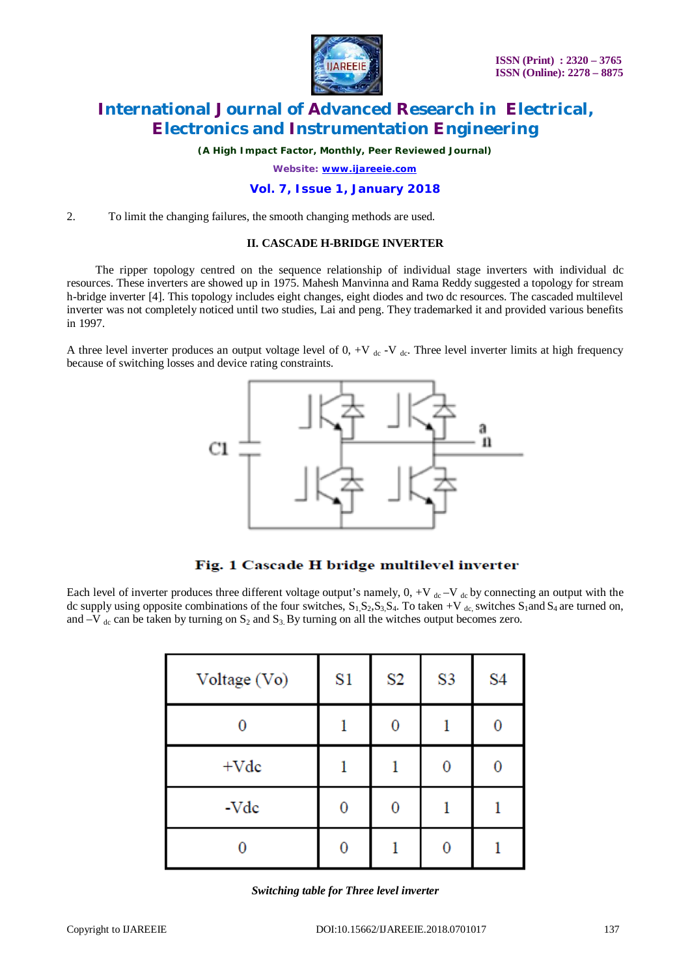

*(A High Impact Factor, Monthly, Peer Reviewed Journal)*

*Website: [www.ijareeie.com](http://www.ijareeie.com)*

#### **Vol. 7, Issue 1, January 2018**

2. To limit the changing failures, the smooth changing methods are used.

#### **II. CASCADE H-BRIDGE INVERTER**

 The ripper topology centred on the sequence relationship of individual stage inverters with individual dc resources. These inverters are showed up in 1975. Mahesh Manvinna and Rama Reddy suggested a topology for stream h-bridge inverter [4]. This topology includes eight changes, eight diodes and two dc resources. The cascaded multilevel inverter was not completely noticed until two studies, Lai and peng. They trademarked it and provided various benefits in 1997.

A three level inverter produces an output voltage level of  $0, +V$  de -V de. Three level inverter limits at high frequency because of switching losses and device rating constraints.



### Fig. 1 Cascade H bridge multilevel inverter

Each level of inverter produces three different voltage output's namely,  $0, +V$ <sub>dc</sub> -V<sub>dc</sub> by connecting an output with the dc supply using opposite combinations of the four switches,  $S_1$ ,  $S_2$ ,  $S_3$ ,  $S_4$ . To taken +V <sub>dc</sub>, switches  $S_1$  and  $S_4$  are turned on, and  $-V$  <sub>dc</sub> can be taken by turning on S<sub>2</sub> and S<sub>3</sub>. By turning on all the witches output becomes zero.

| Voltage (Vo) | S1 | S <sub>2</sub> | S <sub>3</sub> | S <sub>4</sub> |
|--------------|----|----------------|----------------|----------------|
|              |    | 0              |                | 0              |
| $+Vdc$       |    |                | 0              | 0              |
| -Vdc         |    |                |                |                |
|              |    |                |                |                |

*Switching table for Three level inverter*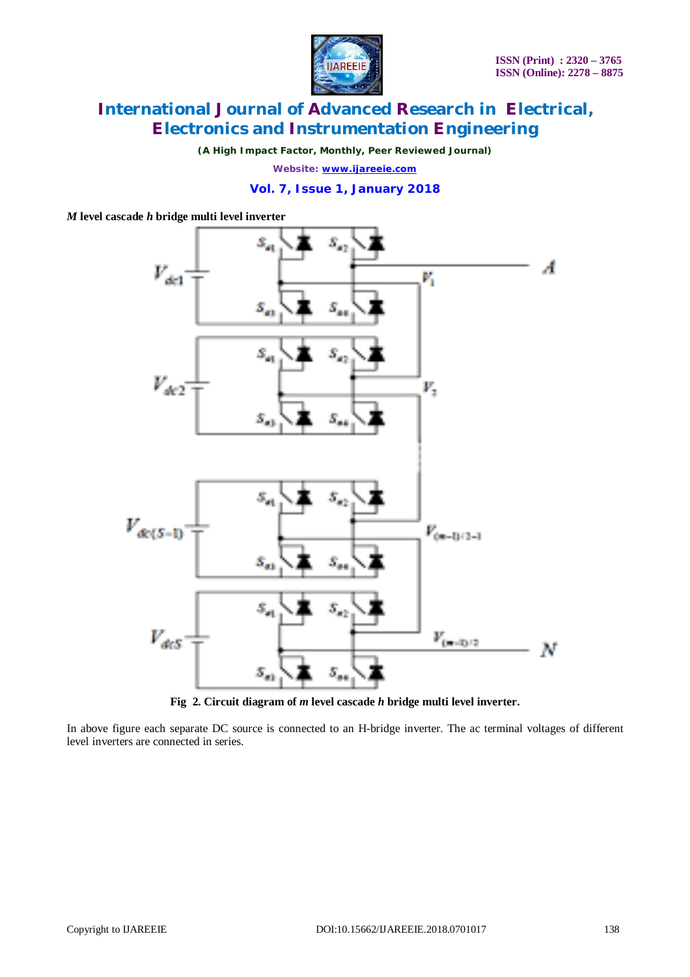

*(A High Impact Factor, Monthly, Peer Reviewed Journal)*

*Website: [www.ijareeie.com](http://www.ijareeie.com)*

### **Vol. 7, Issue 1, January 2018**

*M* **level cascade** *h* **bridge multi level inverter**



**Fig 2. Circuit diagram of** *m* **level cascade** *h* **bridge multi level inverter.**

In above figure each separate DC source is connected to an H-bridge inverter. The ac terminal voltages of different level inverters are connected in series.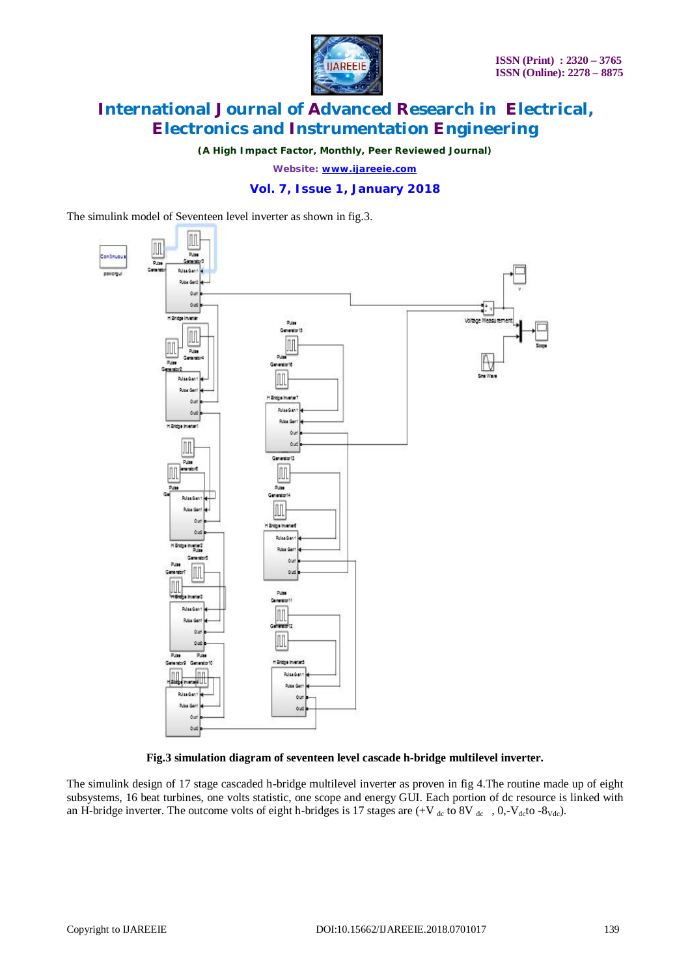

*(A High Impact Factor, Monthly, Peer Reviewed Journal)*

*Website: [www.ijareeie.com](http://www.ijareeie.com)*

### **Vol. 7, Issue 1, January 2018**

The simulink model of Seventeen level inverter as shown in fig.3.



**Fig.3 simulation diagram of seventeen level cascade h-bridge multilevel inverter.**

The simulink design of 17 stage cascaded h-bridge multilevel inverter as proven in fig 4.The routine made up of eight subsystems, 16 beat turbines, one volts statistic, one scope and energy GUI. Each portion of dc resource is linked with an H-bridge inverter. The outcome volts of eight h-bridges is 17 stages are  $(+V_{dc}$  to 8V  $_{dc}$ , 0,-V<sub>dc</sub>to -8<sub>Vdc</sub>).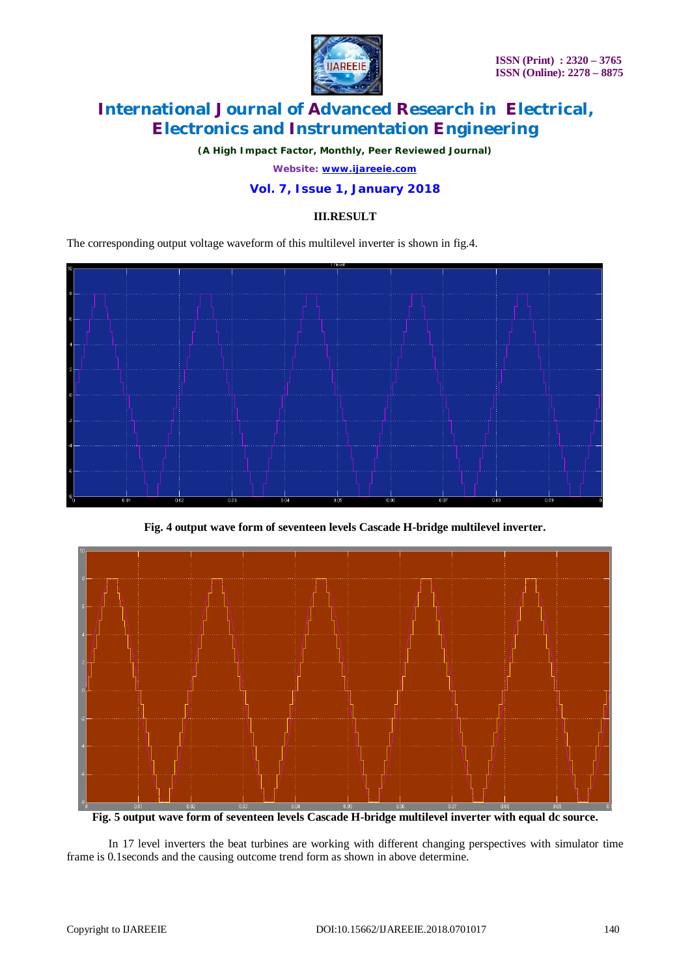

*(A High Impact Factor, Monthly, Peer Reviewed Journal)*

*Website: [www.ijareeie.com](http://www.ijareeie.com)*

### **Vol. 7, Issue 1, January 2018**

### **III.RESULT**

The corresponding output voltage waveform of this multilevel inverter is shown in fig.4.



**Fig. 4 output wave form of seventeen levels Cascade H-bridge multilevel inverter.**



**Fig. 5 output wave form of seventeen levels Cascade H-bridge multilevel inverter with equal dc source.**

In 17 level inverters the beat turbines are working with different changing perspectives with simulator time frame is 0.1seconds and the causing outcome trend form as shown in above determine.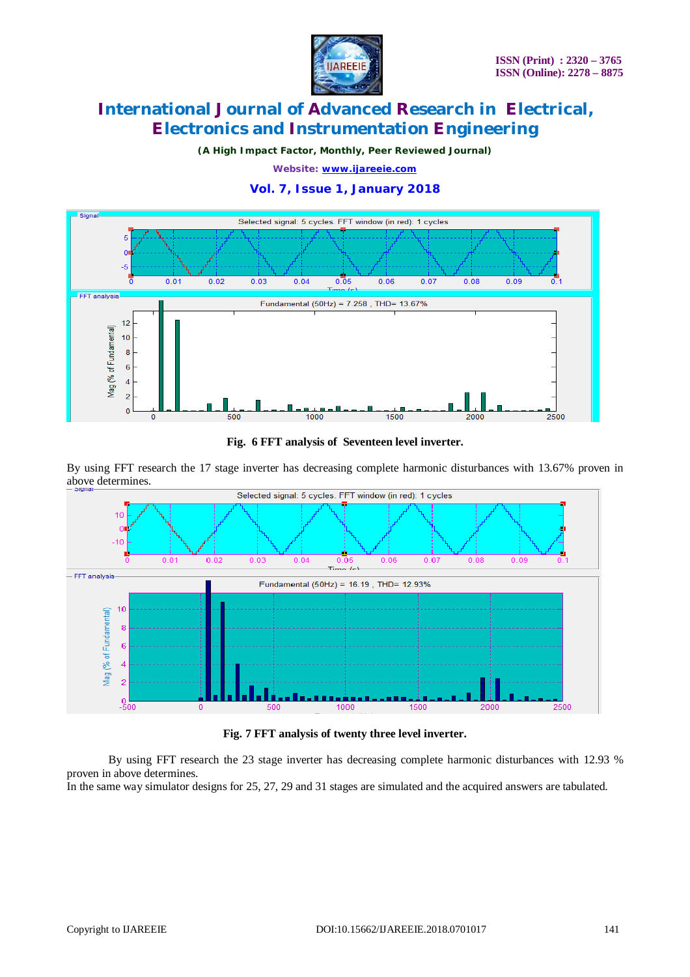

*(A High Impact Factor, Monthly, Peer Reviewed Journal)*

*Website: [www.ijareeie.com](http://www.ijareeie.com)*

### **Vol. 7, Issue 1, January 2018**



**Fig. 6 FFT analysis of Seventeen level inverter.**

By using FFT research the 17 stage inverter has decreasing complete harmonic disturbances with 13.67% proven in above determines.



**Fig. 7 FFT analysis of twenty three level inverter.**

By using FFT research the 23 stage inverter has decreasing complete harmonic disturbances with 12.93 % proven in above determines.

In the same way simulator designs for 25, 27, 29 and 31 stages are simulated and the acquired answers are tabulated.